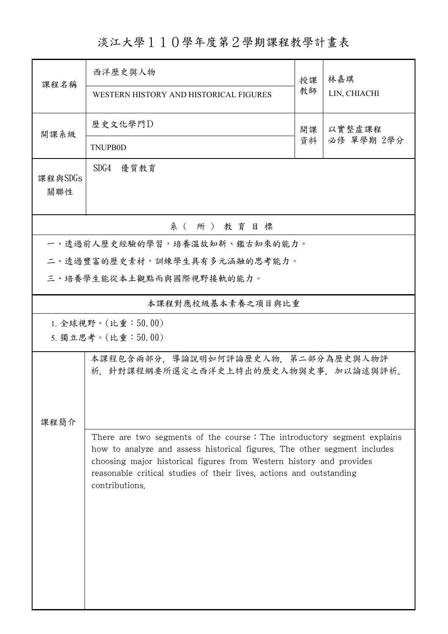淡江大學110學年度第2學期課程教學計畫表

| 課程名稱           | 西洋歷史與人物                                                                                                                                                                                                                                                                                           |    | 林嘉琪                  |
|----------------|---------------------------------------------------------------------------------------------------------------------------------------------------------------------------------------------------------------------------------------------------------------------------------------------------|----|----------------------|
|                | WESTERN HISTORY AND HISTORICAL FIGURES                                                                                                                                                                                                                                                            | 教師 | LIN, CHIACHI         |
|                | 歷史文化學門D                                                                                                                                                                                                                                                                                           | 開課 | 以實整虛課程<br>必修 單學期 2學分 |
| 開課系級           | <b>TNUPB0D</b>                                                                                                                                                                                                                                                                                    | 資料 |                      |
| 課程與SDGs<br>關聯性 | SDG4 優質教育                                                                                                                                                                                                                                                                                         |    |                      |
|                | 系(所)教育目標                                                                                                                                                                                                                                                                                          |    |                      |
|                | 一、透過前人歷史經驗的學習,培養溫故知新、鑑古知來的能力。                                                                                                                                                                                                                                                                     |    |                      |
|                | 二、透過豐富的歷史素材,訓練學生具有多元涵融的思考能力。                                                                                                                                                                                                                                                                      |    |                      |
|                | 三、培養學生能從本土觀點而與國際視野接軌的能力。                                                                                                                                                                                                                                                                          |    |                      |
|                | 本課程對應校級基本素養之項目與比重                                                                                                                                                                                                                                                                                 |    |                      |
|                | 1. 全球視野。(比重: $50.00$ )                                                                                                                                                                                                                                                                            |    |                      |
|                | 5. 獨立思考。(比重:50.00)                                                                                                                                                                                                                                                                                |    |                      |
|                | 本課程包含兩部分,導論說明如何評論歷史人物,第二部分為歷史與人物評<br>析,針對課程綱要所選定之西洋史上特出的歷史人物與史事,加以論述與評析。                                                                                                                                                                                                                          |    |                      |
| 課程簡介           |                                                                                                                                                                                                                                                                                                   |    |                      |
|                | There are two segments of the course: The introductory segment explains<br>how to analyze and assess historical figures. The other segment includes<br>choosing major historical figures from Western history and provides<br>reasonable critical studies of their lives, actions and outstanding |    |                      |
|                |                                                                                                                                                                                                                                                                                                   |    |                      |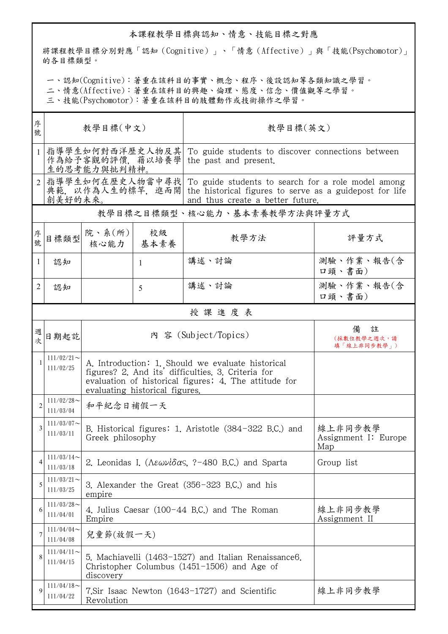## 本課程教學目標與認知、情意、技能目標之對應

將課程教學目標分別對應「認知(Cognitive)」、「情意(Affective)」與「技能(Psychomotor)」 的各目標類型。

一、認知(Cognitive):著重在該科目的事實、概念、程序、後設認知等各類知識之學習。

二、情意(Affective):著重在該科目的興趣、倫理、態度、信念、價值觀等之學習。

三、技能(Psychomotor):著重在該科目的肢體動作或技術操作之學習。

| 序<br>號         | 教學目標(中文)                                                                                               |                                                                                                                                                                                                    |    | 教學目標(英文)                                                                                            |                                        |  |
|----------------|--------------------------------------------------------------------------------------------------------|----------------------------------------------------------------------------------------------------------------------------------------------------------------------------------------------------|----|-----------------------------------------------------------------------------------------------------|----------------------------------------|--|
| $\mathbf{1}$   | 指導學生如何對西洋歷史人物及其<br>作為給予客觀的評價,藉以培養學<br>生的思考能力與批判精神。                                                     |                                                                                                                                                                                                    |    | To guide students to discover connections between<br>the past and present.                          |                                        |  |
|                | 指導學生如何在歷史人物當中尋找 <br>典範,以作為人生的標竿,進而開 the historical figures to serve as a guidepost for life<br>創美好的未來。 |                                                                                                                                                                                                    |    | To guide students to search for a role model among<br>and thus create a better future.              |                                        |  |
|                | 教學目標之目標類型、核心能力、基本素養教學方法與評量方式                                                                           |                                                                                                                                                                                                    |    |                                                                                                     |                                        |  |
| 序<br>號         | 目標類型                                                                                                   | 院、系 $(\kappa)$  <br>核心能力   基本素養                                                                                                                                                                    | 校級 | 教學方法                                                                                                | 評量方式                                   |  |
| 1              | 認知                                                                                                     |                                                                                                                                                                                                    | 1  | 講述、討論                                                                                               | 測驗、作業、報告(含<br>口頭、書面)                   |  |
| 2              | 認知                                                                                                     |                                                                                                                                                                                                    | 5  | 講述、討論                                                                                               | 測驗、作業、報告(含<br>口頭、書面)                   |  |
|                |                                                                                                        |                                                                                                                                                                                                    |    | 授課進度表                                                                                               |                                        |  |
| 週              | 日期起訖                                                                                                   | 內 容 (Subject/Topics)                                                                                                                                                                               |    |                                                                                                     | 註<br>備<br>(採數位教學之週次,請<br>填「線上非同步教學」)   |  |
| 1              | $111/02/21$ ~<br>111/02/25                                                                             | A. Introduction: 1. Should we evaluate historical<br>figures? 2. And its' difficulties. 3. Criteria for<br>evaluation of historical figures; 4. The attitude for<br>evaluating historical figures. |    |                                                                                                     |                                        |  |
| $\overline{2}$ | $111/02/28$ ~<br>111/03/04                                                                             | 和平紀念日補假一天                                                                                                                                                                                          |    |                                                                                                     |                                        |  |
| 3              | $111/03/07$ ~<br>111/03/11                                                                             | B. Historical figures: 1. Aristotle (384-322 B.C.) and<br>Greek philosophy                                                                                                                         |    |                                                                                                     | 線上非同步教學<br>Assignment I: Europe<br>Map |  |
| 4              | $111/03/14$ ~<br>111/03/18                                                                             | 2. Leonidas I. ( $\Lambda \epsilon \omega \nu l \delta \alpha s$ , ?-480 B.C.) and Sparta                                                                                                          |    |                                                                                                     | Group list                             |  |
| 5              | $111/03/21$ ~<br>111/03/25                                                                             | 3. Alexander the Great (356-323 B.C.) and his<br>empire                                                                                                                                            |    |                                                                                                     |                                        |  |
| 6              | $111/03/28$ ~<br>111/04/01                                                                             | 4. Julius Caesar (100-44 B.C.) and The Roman<br>Empire                                                                                                                                             |    |                                                                                                     | 線上非同步教學<br>Assignment II               |  |
| 7              | 111/04/04<br>111/04/08                                                                                 | 兒童節(放假一天)                                                                                                                                                                                          |    |                                                                                                     |                                        |  |
| 8              | $111/04/11$ ~<br>111/04/15                                                                             | discovery                                                                                                                                                                                          |    | 5. Machiavelli (1463-1527) and Italian Renaissance6.<br>Christopher Columbus (1451-1506) and Age of |                                        |  |
| $\mathbf Q$    | $111/04/18$ ~<br>111/04/22                                                                             | 線上非同步教學<br>7.Sir Isaac Newton (1643-1727) and Scientific<br>Revolution                                                                                                                             |    |                                                                                                     |                                        |  |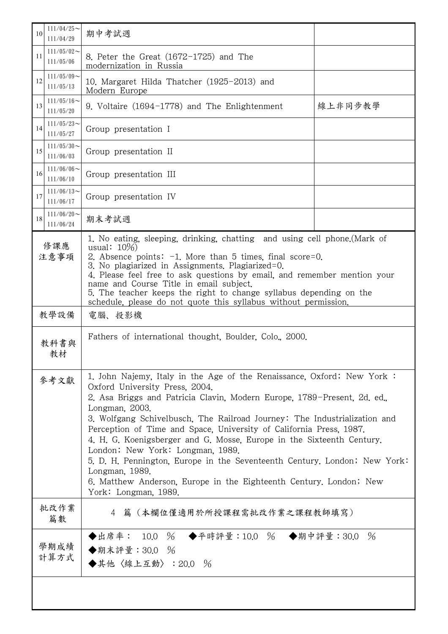| 10          | $111/04/25$ ~<br>111/04/29    | 期中考試週                                                                                                                                                                                                                                                                                                                                                                                                                                                                                                                                                                                                                                                                |         |  |  |
|-------------|-------------------------------|----------------------------------------------------------------------------------------------------------------------------------------------------------------------------------------------------------------------------------------------------------------------------------------------------------------------------------------------------------------------------------------------------------------------------------------------------------------------------------------------------------------------------------------------------------------------------------------------------------------------------------------------------------------------|---------|--|--|
| 11          | $111/05/02$ ~<br>111/05/06    | 8. Peter the Great (1672-1725) and The<br>modernization in Russia                                                                                                                                                                                                                                                                                                                                                                                                                                                                                                                                                                                                    |         |  |  |
| 12          | $111/05/09$ ~<br>111/05/13    | 10. Margaret Hilda Thatcher (1925-2013) and<br>Modern Europe                                                                                                                                                                                                                                                                                                                                                                                                                                                                                                                                                                                                         |         |  |  |
| 13          | $111/05/16 \sim$<br>111/05/20 | 9. Voltaire (1694-1778) and The Enlightenment                                                                                                                                                                                                                                                                                                                                                                                                                                                                                                                                                                                                                        | 線上非同步教學 |  |  |
| 14          | $111/05/23$ ~<br>111/05/27    | Group presentation I                                                                                                                                                                                                                                                                                                                                                                                                                                                                                                                                                                                                                                                 |         |  |  |
| 15          | $111/05/30$ ~<br>111/06/03    | Group presentation II                                                                                                                                                                                                                                                                                                                                                                                                                                                                                                                                                                                                                                                |         |  |  |
| 16          | 111/06/06<br>111/06/10        | Group presentation III                                                                                                                                                                                                                                                                                                                                                                                                                                                                                                                                                                                                                                               |         |  |  |
| 17          | $111/06/13$ ~<br>111/06/17    | Group presentation IV                                                                                                                                                                                                                                                                                                                                                                                                                                                                                                                                                                                                                                                |         |  |  |
| 18          | $111/06/20$ ~<br>111/06/24    | 期末考試週                                                                                                                                                                                                                                                                                                                                                                                                                                                                                                                                                                                                                                                                |         |  |  |
| 修課應<br>注意事項 |                               | 1. No eating, sleeping, drinking, chatting and using cell phone. (Mark of<br>usual: $10\%$<br>2. Absence points: $-1$ . More than 5 times, final score=0.<br>3. No plagiarized in Assignments. Plagiarized=0.<br>4. Please feel free to ask questions by email, and remember mention your<br>name and Course Title in email subject.<br>5. The teacher keeps the right to change syllabus depending on the<br>schedule, please do not quote this syllabus without permission.                                                                                                                                                                                        |         |  |  |
|             | 教學設備                          | 電腦、投影機                                                                                                                                                                                                                                                                                                                                                                                                                                                                                                                                                                                                                                                               |         |  |  |
|             | 教科書與<br>教材                    | Fathers of international thought, Boulder, Colo., 2000.                                                                                                                                                                                                                                                                                                                                                                                                                                                                                                                                                                                                              |         |  |  |
|             | 參考文獻                          | 1. John Najemy, Italy in the Age of the Renaissance, Oxford; New York:<br>Oxford University Press, 2004.<br>2. Asa Briggs and Patricia Clavin, Modern Europe, 1789-Present, 2d. ed.,<br>Longman, 2003.<br>3. Wolfgang Schivelbusch, The Railroad Journey: The Industrialization and<br>Perception of Time and Space, University of California Press, 1987.<br>4. H. G. Koenigsberger and G. Mosse, Europe in the Sixteenth Century.<br>London; New York: Longman, 1989.<br>5. D. H. Pennington, Europe in the Seventeenth Century. London; New York:<br>Longman, 1989.<br>6. Matthew Anderson, Europe in the Eighteenth Century. London; New<br>York: Longman, 1989. |         |  |  |
|             | 批改作業<br>篇數                    | 4 篇 (本欄位僅適用於所授課程需批改作業之課程教師填寫)                                                                                                                                                                                                                                                                                                                                                                                                                                                                                                                                                                                                                                        |         |  |  |
|             | 學期成績<br>計算方式                  | ◆出席率: 10.0 % ◆平時評量:10.0 % ◆期中評量:30.0 %<br>◆期末評量: 30.0 %<br>◆其他〈線上互動〉: 20.0 %                                                                                                                                                                                                                                                                                                                                                                                                                                                                                                                                                                                         |         |  |  |
|             |                               |                                                                                                                                                                                                                                                                                                                                                                                                                                                                                                                                                                                                                                                                      |         |  |  |